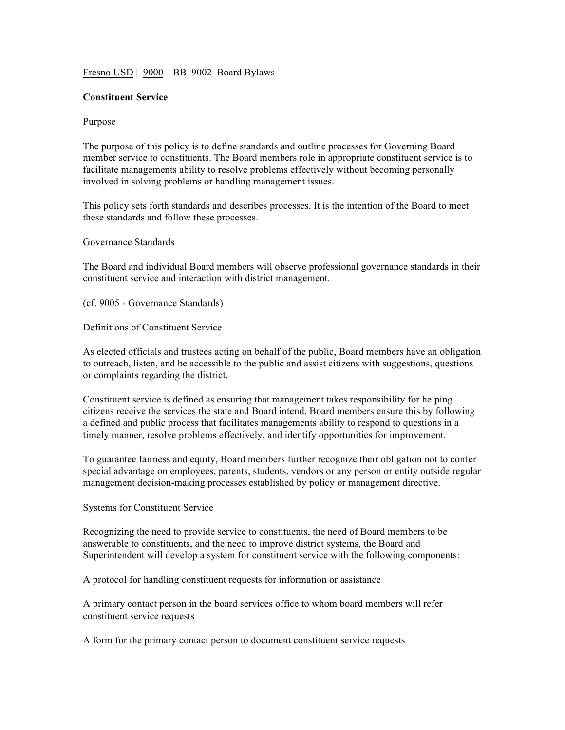## Fresno USD | 9000 | BB 9002 Board Bylaws

## **Constituent Service**

## Purpose

The purpose of this policy is to define standards and outline processes for Governing Board member service to constituents. The Board members role in appropriate constituent service is to facilitate managements ability to resolve problems effectively without becoming personally involved in solving problems or handling management issues.

This policy sets forth standards and describes processes. It is the intention of the Board to meet these standards and follow these processes.

Governance Standards

The Board and individual Board members will observe professional governance standards in their constituent service and interaction with district management.

(cf. 9005 - Governance Standards)

Definitions of Constituent Service

As elected officials and trustees acting on behalf of the public, Board members have an obligation to outreach, listen, and be accessible to the public and assist citizens with suggestions, questions or complaints regarding the district.

Constituent service is defined as ensuring that management takes responsibility for helping citizens receive the services the state and Board intend. Board members ensure this by following a defined and public process that facilitates managements ability to respond to questions in a timely manner, resolve problems effectively, and identify opportunities for improvement.

To guarantee fairness and equity, Board members further recognize their obligation not to confer special advantage on employees, parents, students, vendors or any person or entity outside regular management decision-making processes established by policy or management directive.

Systems for Constituent Service

Recognizing the need to provide service to constituents, the need of Board members to be answerable to constituents, and the need to improve district systems, the Board and Superintendent will develop a system for constituent service with the following components:

A protocol for handling constituent requests for information or assistance

A primary contact person in the board services office to whom board members will refer constituent service requests

A form for the primary contact person to document constituent service requests